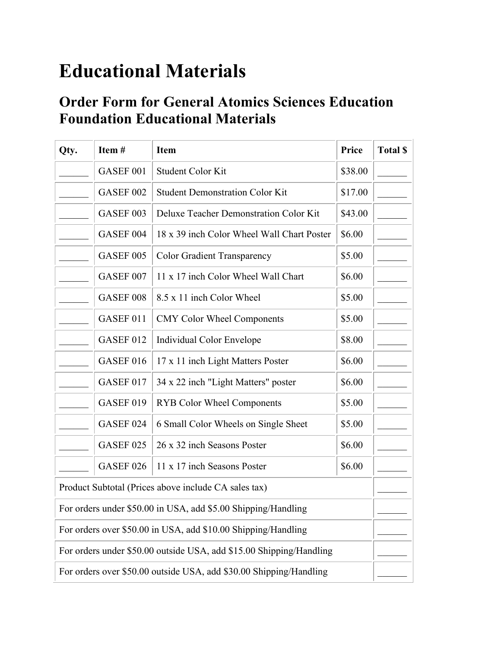## **Educational Materials**

## **Order Form for General Atomics Sciences Education Foundation Educational Materials**

| Qty.                                                                | Item#                | <b>Item</b>                                                        | Price   | <b>Total \$</b> |  |
|---------------------------------------------------------------------|----------------------|--------------------------------------------------------------------|---------|-----------------|--|
|                                                                     | GASEF <sub>001</sub> | <b>Student Color Kit</b>                                           | \$38.00 |                 |  |
|                                                                     | GASEF 002            | <b>Student Demonstration Color Kit</b>                             | \$17.00 |                 |  |
|                                                                     | GASEF 003            | Deluxe Teacher Demonstration Color Kit                             | \$43.00 |                 |  |
|                                                                     | GASEF 004            | 18 x 39 inch Color Wheel Wall Chart Poster                         | \$6.00  |                 |  |
|                                                                     | GASEF 005            | <b>Color Gradient Transparency</b>                                 | \$5.00  |                 |  |
|                                                                     | GASEF 007            | 11 x 17 inch Color Wheel Wall Chart                                | \$6.00  |                 |  |
|                                                                     | GASEF 008            | 8.5 x 11 inch Color Wheel                                          | \$5.00  |                 |  |
|                                                                     | GASEF 011            | <b>CMY Color Wheel Components</b>                                  | \$5.00  |                 |  |
|                                                                     | GASEF 012            | <b>Individual Color Envelope</b>                                   | \$8.00  |                 |  |
|                                                                     | GASEF 016            | 17 x 11 inch Light Matters Poster                                  | \$6.00  |                 |  |
|                                                                     | GASEF 017            | 34 x 22 inch "Light Matters" poster                                | \$6.00  |                 |  |
|                                                                     | GASEF 019            | <b>RYB Color Wheel Components</b>                                  | \$5.00  |                 |  |
|                                                                     | GASEF 024            | 6 Small Color Wheels on Single Sheet                               | \$5.00  |                 |  |
|                                                                     | GASEF 025            | 26 x 32 inch Seasons Poster                                        | \$6.00  |                 |  |
|                                                                     | GASEF 026            | 11 x 17 inch Seasons Poster                                        | \$6.00  |                 |  |
|                                                                     |                      | Product Subtotal (Prices above include CA sales tax)               |         |                 |  |
|                                                                     |                      | For orders under \$50.00 in USA, add \$5.00 Shipping/Handling      |         |                 |  |
| For orders over \$50.00 in USA, add \$10.00 Shipping/Handling       |                      |                                                                    |         |                 |  |
| For orders under \$50.00 outside USA, add \$15.00 Shipping/Handling |                      |                                                                    |         |                 |  |
|                                                                     |                      | For orders over \$50.00 outside USA, add \$30.00 Shipping/Handling |         |                 |  |